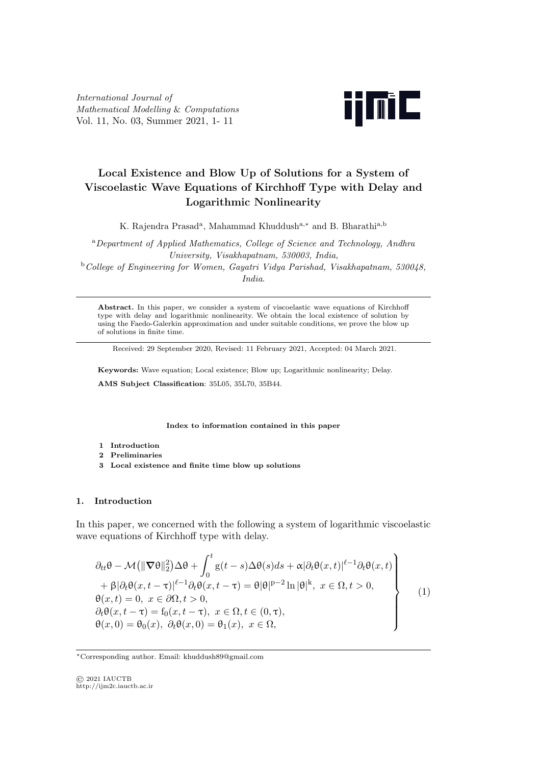*International Journal of Mathematical Modelling* & *Computations* Vol. 11, No. 03, Summer 2021, 1- 11



# **Local Existence and Blow Up of Solutions for a System of Viscoelastic Wave Equations of Kirchhoff Type with Delay and Logarithmic Nonlinearity**

K. Rajendra Prasad<sup>a</sup>, Mahammad Khuddush<sup>a,</sup><sup>\*</sup> and B. Bharathi<sup>a,b</sup>

<sup>a</sup>*Department of Applied Mathematics, College of Science and Technology, Andhra University, Visakhapatnam, 530003, India*,

<sup>b</sup>*College of Engineering for Women, Gayatri Vidya Parishad, Visakhapatnam, 530048, India*.

**Abstract.** In this paper, we consider a system of viscoelastic wave equations of Kirchhoff type with delay and logarithmic nonlinearity. We obtain the local existence of solution by using the Faedo-Galerkin approximation and under suitable conditions, we prove the blow up of solutions in finite time.

Received: 29 September 2020, Revised: 11 February 2021, Accepted: 04 March 2021.

**Keywords:** Wave equation; Local existence; Blow up; Logarithmic nonlinearity; Delay. **AMS Subject Classification**: 35L05, 35L70, 35B44.

**Index to information contained in this paper**

- **1 Introduction**
- **2 Preliminaries**
- **3 Local existence and finite time blow up solutions**

## **1. Introduction**

In this paper, we concerned with the following a system of logarithmic viscoelastic wave equations of Kirchhoff type with delay.

$$
\partial_{tt}\theta - \mathcal{M}(\|\nabla\theta\|_{2}^{2})\Delta\theta + \int_{0}^{t} g(t-s)\Delta\theta(s)ds + \alpha|\partial_{t}\theta(x,t)|^{\ell-1}\partial_{t}\theta(x,t)
$$
  
+  $\beta|\partial_{t}\theta(x,t-\tau)|^{\ell-1}\partial_{t}\theta(x,t-\tau) = \theta|\theta|^{p-2}\ln|\theta|^{k}, x \in \Omega, t > 0,$   
 $\theta(x,t) = 0, x \in \partial\Omega, t > 0,$   
 $\partial_{t}\theta(x,t-\tau) = f_{0}(x,t-\tau), x \in \Omega, t \in (0,\tau),$   
 $\theta(x,0) = \theta_{0}(x), \ \partial_{t}\theta(x,0) = \theta_{1}(x), x \in \Omega,$  (1)

© 2021 IAUCTB http://ijm2c.iauctb.ac.ir

*<sup>∗</sup>*Corresponding author. Email: khuddush89@gmail.com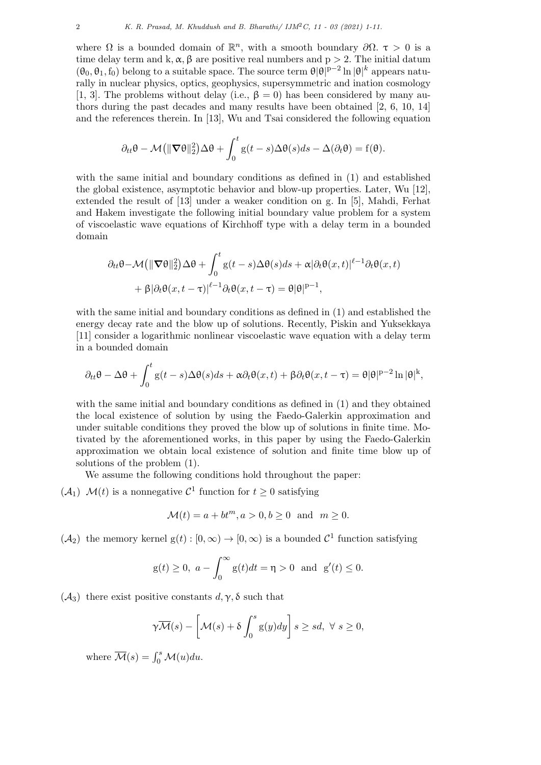where  $\Omega$  is a bounded domain of  $\mathbb{R}^n$ , with a smooth boundary  $\partial\Omega$ .  $\tau > 0$  is a time delay term and k,  $\alpha$ ,  $\beta$  are positive real numbers and  $p > 2$ . The initial datum  $(\theta_0, \theta_1, f_0)$  belong to a suitable space. The source term  $\theta |\theta|^{p-2} \ln |\theta|^k$  appears naturally in nuclear physics, optics, geophysics, supersymmetric and ination cosmology [1, 3]. The problems without delay (i.e.,  $\beta = 0$ ) has been considered by many authors during the past decades and many results have been obtained [2, 6, 10, 14] and the references therein. In [13], Wu and Tsai considered the following equation

$$
\partial_{tt}\theta - \mathcal{M}(\|\nabla\theta\|_2^2)\Delta\theta + \int_0^t \mathbf{g}(t-s)\Delta\theta(s)ds - \Delta(\partial_t\theta) = \mathbf{f}(\theta).
$$

with the same initial and boundary conditions as defined in (1) and established the global existence, asymptotic behavior and blow-up properties. Later, Wu [12], extended the result of [13] under a weaker condition on g*.* In [5], Mahdi, Ferhat and Hakem investigate the following initial boundary value problem for a system of viscoelastic wave equations of Kirchhoff type with a delay term in a bounded domain

$$
\partial_{tt}\theta - \mathcal{M}(\|\nabla\theta\|_2^2) \Delta\theta + \int_0^t g(t-s) \Delta\theta(s) ds + \alpha |\partial_t \theta(x,t)|^{\ell-1} \partial_t \theta(x,t)
$$

$$
+ \beta |\partial_t \theta(x,t-\tau)|^{\ell-1} \partial_t \theta(x,t-\tau) = \theta |\theta|^{p-1},
$$

with the same initial and boundary conditions as defined in (1) and established the energy decay rate and the blow up of solutions. Recently, Piskin and Yuksekkaya [11] consider a logarithmic nonlinear viscoelastic wave equation with a delay term in a bounded domain

$$
\partial_{tt}\theta - \Delta\theta + \int_0^t \mathbf{g}(t-s)\Delta\theta(s)ds + \alpha\partial_t\theta(x,t) + \beta\partial_t\theta(x,t-\tau) = \theta|\theta|^{p-2}\ln|\theta|^k,
$$

with the same initial and boundary conditions as defined in (1) and they obtained the local existence of solution by using the Faedo-Galerkin approximation and under suitable conditions they proved the blow up of solutions in finite time. Motivated by the aforementioned works, in this paper by using the Faedo-Galerkin approximation we obtain local existence of solution and finite time blow up of solutions of the problem (1).

We assume the following conditions hold throughout the paper:

 $(\mathcal{A}_1)$   $\mathcal{M}(t)$  is a nonnegative  $\mathcal{C}^1$  function for  $t \geq 0$  satisfying

$$
\mathcal{M}(t) = a + bt^m, a > 0, b \ge 0 \quad \text{and} \quad m \ge 0.
$$

 $(\mathcal{A}_2)$  the memory kernel  $g(t): [0, \infty) \to [0, \infty)$  is a bounded  $\mathcal{C}^1$  function satisfying

$$
g(t) \ge 0
$$
,  $a - \int_0^\infty g(t)dt = \eta > 0$  and  $g'(t) \le 0$ .

( $\mathcal{A}_3$ ) there exist positive constants  $d, \gamma, \delta$  such that

$$
\gamma \overline{\mathcal{M}}(s) - \left[\mathcal{M}(s) + \delta \int_0^s g(y) dy\right] s \ge sd, \ \forall \ s \ge 0,
$$

where  $\overline{\mathcal{M}}(s) = \int_0^s \mathcal{M}(u) du$ .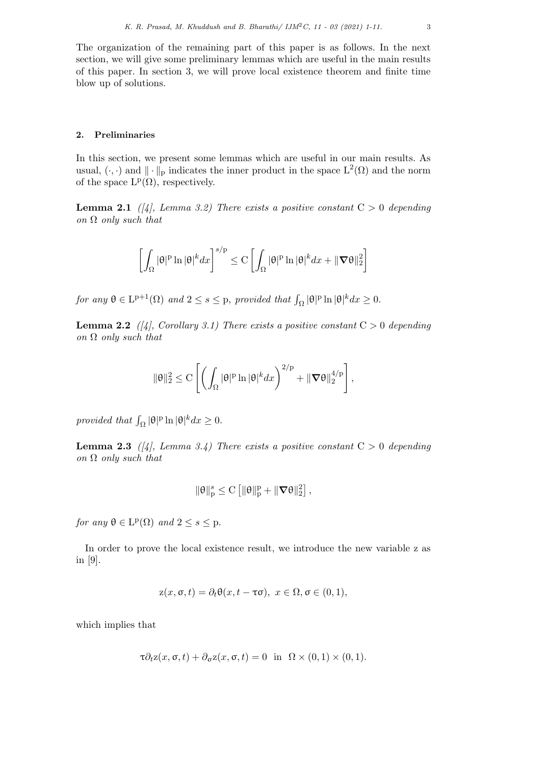The organization of the remaining part of this paper is as follows. In the next section, we will give some preliminary lemmas which are useful in the main results of this paper. In section 3, we will prove local existence theorem and finite time blow up of solutions.

#### **2. Preliminaries**

In this section, we present some lemmas which are useful in our main results. As usual,  $(\cdot, \cdot)$  and  $|| \cdot ||_{p}$  indicates the inner product in the space  $L^{2}(\Omega)$  and the norm of the space  $L^p(\Omega)$ , respectively.

**Lemma 2.1** *([4], Lemma 3.2)* There exists a positive constant  $C > 0$  depending *on* Ω *only such that*

$$
\left[\int_{\Omega} |\theta|^p \ln |\theta|^k dx\right]^{s/p} \leq C \left[\int_{\Omega} |\theta|^p \ln |\theta|^k dx + \|\nabla \theta\|_2^2\right]
$$

*for any*  $\theta \in L^{p+1}(\Omega)$  *and*  $2 \le s \le p$ *, provided that*  $\int_{\Omega} |\theta|^p \ln |\theta|^k dx \ge 0$ *.* 

**Lemma 2.2** *([4], Corollary 3.1) There exists a positive constant*  $C > 0$  *depending on* Ω *only such that*

$$
\|\theta\|_2^2 \leq C\left[\left(\int_\Omega |\theta|^p \ln |\theta|^k dx\right)^{2/p} + \|\boldsymbol{\nabla} \theta\|_2^{4/p}\right],
$$

*provided that*  $\int_{\Omega} |\theta|^p \ln |\theta|^k dx \ge 0$ .

**Lemma 2.3** *([4], Lemma 3.4)* There exists a positive constant  $C > 0$  depending *on* Ω *only such that*

$$
\|\theta\|_p^s \leq C\left[\|\theta\|_p^p + \|\boldsymbol{\nabla}\theta\|_2^2\right],
$$

 $for any \theta \in L^p(\Omega) \text{ and } 2 \leq s \leq p.$ 

In order to prove the local existence result, we introduce the new variable z as in [9].

$$
z(x, \sigma, t) = \partial_t \theta(x, t - \tau \sigma), \ x \in \Omega, \sigma \in (0, 1),
$$

which implies that

$$
\tau \partial_t z(x, \sigma, t) + \partial_{\sigma} z(x, \sigma, t) = 0 \text{ in } \Omega \times (0, 1) \times (0, 1).
$$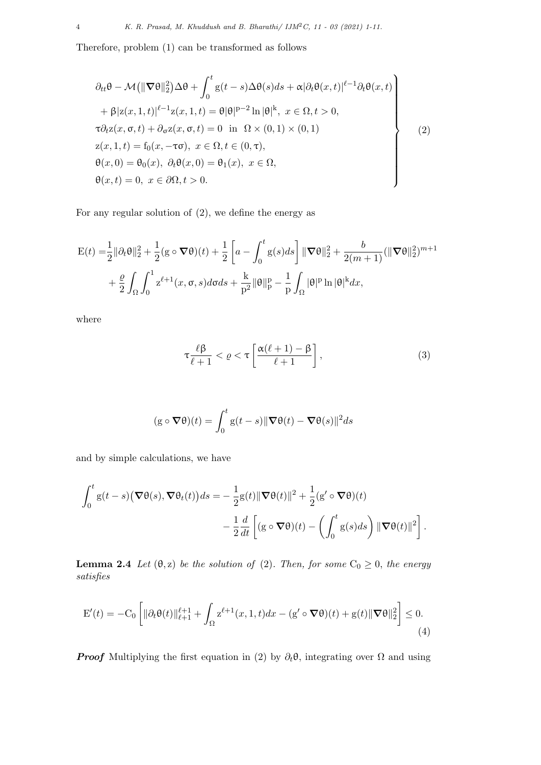Therefore, problem (1) can be transformed as follows

$$
\partial_{tt}\theta - \mathcal{M}(\|\nabla\theta\|_{2}^{2})\Delta\theta + \int_{0}^{t} g(t-s)\Delta\theta(s)ds + \alpha|\partial_{t}\theta(x,t)|^{\ell-1}\partial_{t}\theta(x,t)
$$
  
+  $\beta|z(x,1,t)|^{\ell-1}z(x,1,t) = \theta|\theta|^{p-2}\ln|\theta|^{k}, x \in \Omega, t > 0,$   
 $\tau\partial_{t}z(x,\sigma,t) + \partial_{\sigma}z(x,\sigma,t) = 0$  in  $\Omega \times (0,1) \times (0,1)$   
 $z(x,1,t) = f_{0}(x,-\tau\sigma), x \in \Omega, t \in (0,\tau),$   
 $\theta(x,0) = \theta_{0}(x), \partial_{t}\theta(x,0) = \theta_{1}(x), x \in \Omega,$   
 $\theta(x,t) = 0, x \in \partial\Omega, t > 0.$  (2)

For any regular solution of (2), we define the energy as

$$
\begin{split} \mathcal{E}(t) =& \frac{1}{2} \|\partial_t \theta\|_2^2 + \frac{1}{2} (g \circ \nabla \theta)(t) + \frac{1}{2} \left[ a - \int_0^t g(s) ds \right] \|\nabla \theta\|_2^2 + \frac{b}{2(m+1)} (\|\nabla \theta\|_2^2)^{m+1} \\ &+ \frac{\varrho}{2} \int_{\Omega} \int_0^1 z^{\ell+1}(x, \sigma, s) d\sigma ds + \frac{k}{p^2} \|\theta\|_p^p - \frac{1}{p} \int_{\Omega} |\theta|^p \ln |\theta|^k dx, \end{split}
$$

where

$$
\tau \frac{\ell \beta}{\ell+1} < \varrho < \tau \left[ \frac{\alpha(\ell+1) - \beta}{\ell+1} \right],\tag{3}
$$

$$
(\mathbf{g} \circ \nabla \theta)(t) = \int_0^t \mathbf{g}(t-s) \|\nabla \theta(t) - \nabla \theta(s)\|^2 ds
$$

and by simple calculations, we have

$$
\int_0^t \mathbf{g}(t-s) \big( \nabla \theta(s), \nabla \theta_t(t) \big) ds = -\frac{1}{2} \mathbf{g}(t) \|\nabla \theta(t)\|^2 + \frac{1}{2} (\mathbf{g}' \circ \nabla \theta)(t) \n- \frac{1}{2} \frac{d}{dt} \left[ (\mathbf{g} \circ \nabla \theta)(t) - \left( \int_0^t \mathbf{g}(s) ds \right) \|\nabla \theta(t)\|^2 \right].
$$

**Lemma 2.4** *Let*  $(\theta, z)$  *be the solution of* (2)*. Then, for some*  $C_0 \geq 0$ *, the energy satisfies*

$$
E'(t) = -C_0 \left[ \|\partial_t \theta(t)\|_{\ell+1}^{\ell+1} + \int_{\Omega} z^{\ell+1}(x, 1, t) dx - (g' \circ \nabla \theta)(t) + g(t) \|\nabla \theta\|_2^2 \right] \le 0.
$$
\n(4)

*Proof* Multiplying the first equation in (2) by  $\partial_t \theta$ , integrating over  $\Omega$  and using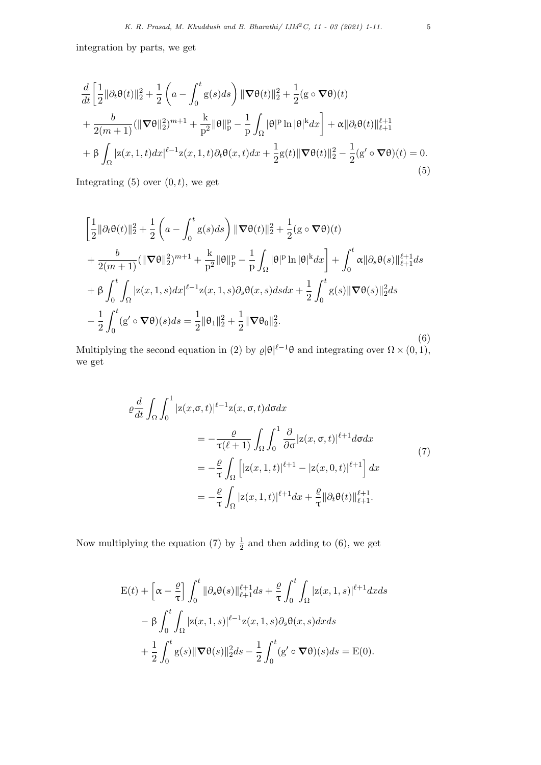integration by parts, we get

$$
\frac{d}{dt} \left[ \frac{1}{2} ||\partial_t \theta(t)||_2^2 + \frac{1}{2} \left( a - \int_0^t g(s) ds \right) ||\nabla \theta(t)||_2^2 + \frac{1}{2} (g \circ \nabla \theta)(t) \right.\n+ \frac{b}{2(m+1)} (||\nabla \theta||_2^2)^{m+1} + \frac{k}{p^2} ||\theta||_p^p - \frac{1}{p} \int_{\Omega} |\theta|^p \ln |\theta|^k dx \right] + \alpha ||\partial_t \theta(t)||_{\ell+1}^{\ell+1} \n+ \beta \int_{\Omega} |z(x, 1, t) dx|^{\ell-1} z(x, 1, t) \partial_t \theta(x, t) dx + \frac{1}{2} g(t) ||\nabla \theta(t)||_2^2 - \frac{1}{2} (g' \circ \nabla \theta)(t) = 0.
$$
\n(5)

Integrating  $(5)$  over  $(0, t)$ *,* we get

$$
\begin{split}\n&\left[\frac{1}{2}\|\partial_{t}\theta(t)\|_{2}^{2}+\frac{1}{2}\left(a-\int_{0}^{t}g(s)ds\right)\|\nabla\theta(t)\|_{2}^{2}+\frac{1}{2}(g\circ\nabla\theta)(t)\right.\\
&+\frac{b}{2(m+1)}(\|\nabla\theta\|_{2}^{2})^{m+1}+\frac{k}{p^{2}}\|\theta\|_{p}^{p}-\frac{1}{p}\int_{\Omega}|\theta|^{p}\ln|\theta|^{k}dx\right]+\int_{0}^{t}\alpha\|\partial_{s}\theta(s)\|_{\ell+1}^{\ell+1}ds\\
&+\beta\int_{0}^{t}\int_{\Omega}|z(x,1,s)dx|^{\ell-1}z(x,1,s)\partial_{s}\theta(x,s)dsdx+\frac{1}{2}\int_{0}^{t}g(s)\|\nabla\theta(s)\|_{2}^{2}ds\\
&-\frac{1}{2}\int_{0}^{t}(g'\circ\nabla\theta)(s)ds=\frac{1}{2}\|\theta_{1}\|_{2}^{2}+\frac{1}{2}\|\nabla\theta_{0}\|_{2}^{2}.\n\end{split} \tag{6}
$$

Multiplying the second equation in (2) by  $\varrho |\theta|^{l-1}\theta$  and integrating over  $\Omega \times (0,1)$ , we get

$$
\varrho \frac{d}{dt} \int_{\Omega} \int_{0}^{1} |z(x, \sigma, t)|^{\ell - 1} z(x, \sigma, t) d\sigma dx
$$
\n
$$
= -\frac{\varrho}{\tau(\ell + 1)} \int_{\Omega} \int_{0}^{1} \frac{\partial}{\partial \sigma} |z(x, \sigma, t)|^{\ell + 1} d\sigma dx
$$
\n
$$
= -\frac{\varrho}{\tau} \int_{\Omega} \left[ |z(x, 1, t)|^{\ell + 1} - |z(x, 0, t)|^{\ell + 1} \right] dx
$$
\n
$$
= -\frac{\varrho}{\tau} \int_{\Omega} |z(x, 1, t)|^{\ell + 1} dx + \frac{\varrho}{\tau} ||\partial_{t} \theta(t)||_{\ell + 1}^{\ell + 1}.
$$
\n(7)

Now multiplying the equation (7) by  $\frac{1}{2}$  and then adding to (6), we get

$$
\begin{split} \mathcal{E}(t) &+ \left[ \alpha - \frac{\varrho}{\tau} \right] \int_0^t \|\partial_s \theta(s)\|_{\ell+1}^{\ell+1} ds + \frac{\varrho}{\tau} \int_0^t \int_{\Omega} |z(x,1,s)|^{\ell+1} dx ds \\ &- \beta \int_0^t \int_{\Omega} |z(x,1,s)|^{\ell-1} z(x,1,s) \partial_s \theta(x,s) dx ds \\ &+ \frac{1}{2} \int_0^t g(s) \|\nabla \theta(s)\|_2^2 ds - \frac{1}{2} \int_0^t (g' \circ \nabla \theta)(s) ds = \mathcal{E}(0). \end{split}
$$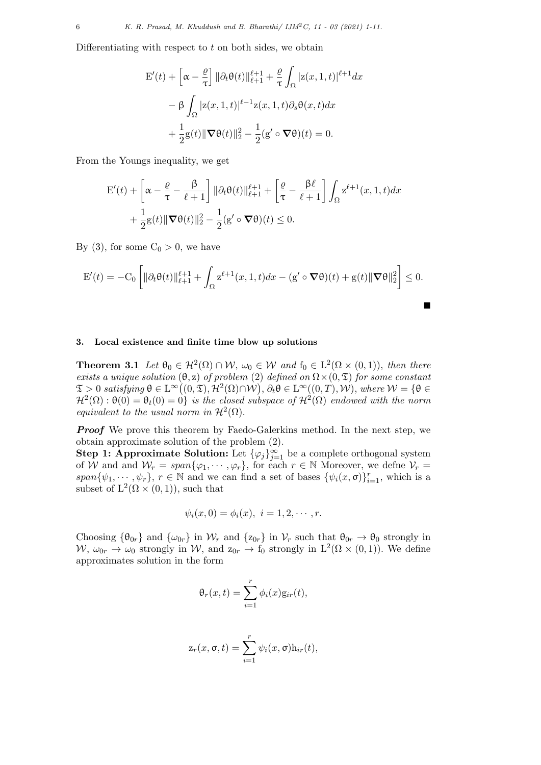Differentiating with respect to *t* on both sides, we obtain

$$
\mathbf{E}'(t) + \left[\alpha - \frac{\varrho}{\tau}\right] \|\partial_t \theta(t)\|_{\ell+1}^{\ell+1} + \frac{\varrho}{\tau} \int_{\Omega} |z(x, 1, t)|^{\ell+1} dx
$$

$$
- \beta \int_{\Omega} |z(x, 1, t)|^{\ell-1} z(x, 1, t) \partial_s \theta(x, t) dx
$$

$$
+ \frac{1}{2} g(t) \|\nabla \theta(t)\|_2^2 - \frac{1}{2} (g' \circ \nabla \theta)(t) = 0.
$$

From the Youngs inequality, we get

$$
\mathbf{E}'(t) + \left[\alpha - \frac{\varrho}{\tau} - \frac{\beta}{\ell+1}\right] \|\partial_t \theta(t)\|_{\ell+1}^{\ell+1} + \left[\frac{\varrho}{\tau} - \frac{\beta \ell}{\ell+1}\right] \int_{\Omega} \mathbf{z}^{\ell+1}(x, 1, t) dx
$$

$$
+ \frac{1}{2} \mathbf{g}(t) \|\nabla \theta(t)\|_2^2 - \frac{1}{2} (\mathbf{g}' \circ \nabla \theta)(t) \le 0.
$$

By (3), for some  $C_0 > 0$ , we have

$$
E'(t) = -C_0 \left[ \|\partial_t \theta(t)\|_{\ell+1}^{\ell+1} + \int_{\Omega} z^{\ell+1}(x, 1, t) dx - (g' \circ \nabla \theta)(t) + g(t) \|\nabla \theta\|_2^2 \right] \le 0.
$$

## **3. Local existence and finite time blow up solutions**

**Theorem 3.1** *Let*  $\theta_0 \in H^2(\Omega) \cap \mathcal{W}, \omega_0 \in \mathcal{W}$  *and*  $f_0 \in L^2(\Omega \times (0,1))$ *, then there exists a unique solution*  $(\theta, z)$  *of problem* (2) *defined on*  $\Omega \times (0, \mathcal{I})$  *for some constant*  $\mathfrak{T} > 0$  satisfying  $\theta \in \mathrm{L}^{\infty}((0, \mathfrak{T}), \mathcal{H}^2(\Omega) \cap \mathcal{W}), \partial_t \theta \in \mathrm{L}^{\infty}((0, T), \mathcal{W}),$  where  $\mathcal{W} = \{\theta \in \mathcal{W} \mid \theta \in \mathcal{W}\}$  $\mathcal{H}^2(\Omega) : \Theta(0) = \Theta_t(0) = 0$  *is the closed subspace of*  $\mathcal{H}^2(\Omega)$  *endowed with the norm equivalent to the usual norm in*  $\mathcal{H}^2(\Omega)$ *.* 

*Proof* We prove this theorem by Faedo-Galerkins method. In the next step, we obtain approximate solution of the problem (2).

**Step 1: Approximate Solution:** Let  $\{\varphi_j\}_{j=1}^{\infty}$  be a complete orthogonal system of *W* and and  $W_r = span{\varphi_1, \cdots, \varphi_r}$ , for each  $r \in \mathbb{N}$  Moreover, we define  $V_r =$ *span* $\{\psi_1, \dots, \psi_r\}$ ,  $r \in \mathbb{N}$  and we can find a set of bases  $\{\psi_i(x, \sigma)\}_{i=1}^r$ , which is a subset of  $L^2(\Omega \times (0,1))$ , such that

$$
\psi_i(x, 0) = \phi_i(x), i = 1, 2, \cdots, r.
$$

Choosing  ${\lbrace \theta_{0r} \rbrace}$  and  ${\lbrace \omega_{0r} \rbrace}$  in  $\mathcal{W}_r$  and  ${\lbrace z_{0r} \rbrace}$  in  $\mathcal{V}_r$  such that  $\theta_{0r} \to \theta_0$  strongly in  $W, \omega_{0r} \to \omega_0$  strongly in W, and  $z_{0r} \to f_0$  strongly in  $L^2(\Omega \times (0,1))$ . We define approximates solution in the form

$$
\theta_r(x,t) = \sum_{i=1}^r \phi_i(x) \mathbf{g}_{ir}(t),
$$

$$
z_r(x, \sigma, t) = \sum_{i=1}^r \psi_i(x, \sigma) h_{ir}(t),
$$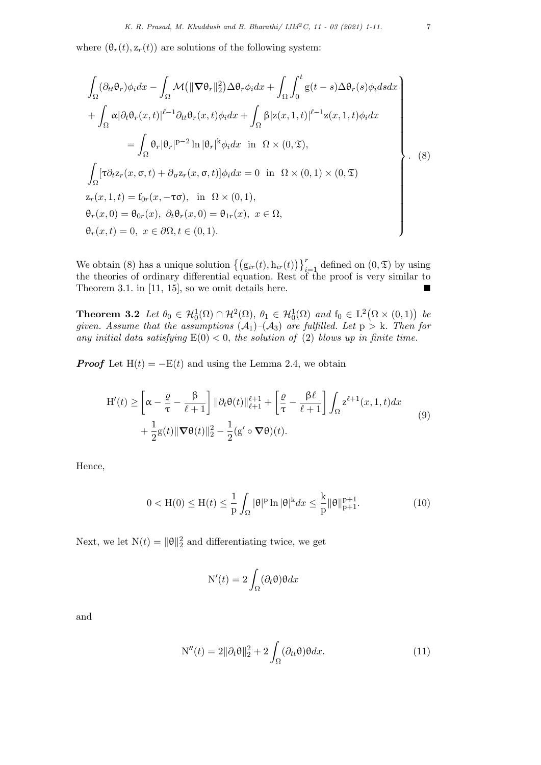where  $(\theta_r(t), z_r(t))$  are solutions of the following system:

$$
\int_{\Omega} (\partial_{tt} \theta_r) \phi_i dx - \int_{\Omega} \mathcal{M} \left( \|\nabla \theta_r\|_2^2 \right) \Delta \theta_r \phi_i dx + \int_{\Omega} \int_0^t g(t-s) \Delta \theta_r(s) \phi_i ds dx
$$
\n
$$
+ \int_{\Omega} \alpha |\partial_t \theta_r(x,t)|^{\ell-1} \partial_{tt} \theta_r(x,t) \phi_i dx + \int_{\Omega} \beta |z(x,1,t)|^{\ell-1} z(x,1,t) \phi_i dx
$$
\n
$$
= \int_{\Omega} \theta_r |\theta_r|^{p-2} \ln |\theta_r|^k \phi_i dx \text{ in } \Omega \times (0,\mathfrak{T}),
$$
\n
$$
\int_{\Omega} [\tau \partial_t z_r(x,\sigma,t) + \partial_{\sigma} z_r(x,\sigma,t)] \phi_i dx = 0 \text{ in } \Omega \times (0,1) \times (0,\mathfrak{T})
$$
\n
$$
z_r(x,1,t) = f_{0r}(x,-\tau\sigma), \text{ in } \Omega \times (0,1),
$$
\n
$$
\theta_r(x,0) = \theta_{0r}(x), \ \partial_t \theta_r(x,0) = \theta_{1r}(x), \ x \in \Omega,
$$
\n
$$
\theta_r(x,t) = 0, \ x \in \partial\Omega, t \in (0,1).
$$
\n(3)

We obtain (8) has a unique solution  $\left\{ \left( g_{ir}(t), h_{ir}(t) \right) \right\}_{i=1}^r$  defined on  $(0, \mathfrak{T})$  by using the theories of ordinary differential equation. Rest of the proof is very similar to Theorem 3.1. in [11, 15], so we omit details here.  $\blacksquare$ 

**Theorem 3.2** *Let*  $\theta_0 \in H_0^1(\Omega) \cap H^2(\Omega)$ ,  $\theta_1 \in H_0^1(\Omega)$  *and*  $f_0 \in L^2(\Omega \times (0,1))$  *be given. Assume that the assumptions*  $(A_1)$  $-(A_3)$  *are fulfilled. Let*  $p > k$ *. Then for* any initial data satisfying  $E(0) < 0$ , the solution of (2) blows up in finite time.

*Proof* Let  $H(t) = -E(t)$  and using the Lemma 2.4, we obtain

$$
\begin{split} \mathcal{H}'(t) &\geq \left[ \alpha - \frac{\varrho}{\tau} - \frac{\beta}{\ell+1} \right] \|\partial_t \theta(t)\|_{\ell+1}^{\ell+1} + \left[ \frac{\varrho}{\tau} - \frac{\beta \ell}{\ell+1} \right] \int_{\Omega} z^{\ell+1}(x, 1, t) dx \\ &+ \frac{1}{2} g(t) \|\nabla \theta(t)\|_2^2 - \frac{1}{2} (g' \circ \nabla \theta)(t). \end{split} \tag{9}
$$

Hence,

$$
0 < H(0) \le H(t) \le \frac{1}{p} \int_{\Omega} |\theta|^{p} \ln |\theta|^{k} dx \le \frac{k}{p} ||\theta||_{p+1}^{p+1}.
$$
 (10)

Next, we let  $N(t) = ||\theta||_2^2$  and differentiating twice, we get

$$
N'(t) = 2 \int_{\Omega} (\partial_t \theta) \theta dx
$$

and

$$
N''(t) = 2\|\partial_t \theta\|_2^2 + 2\int_{\Omega} (\partial_{tt} \theta) \theta dx.
$$
 (11)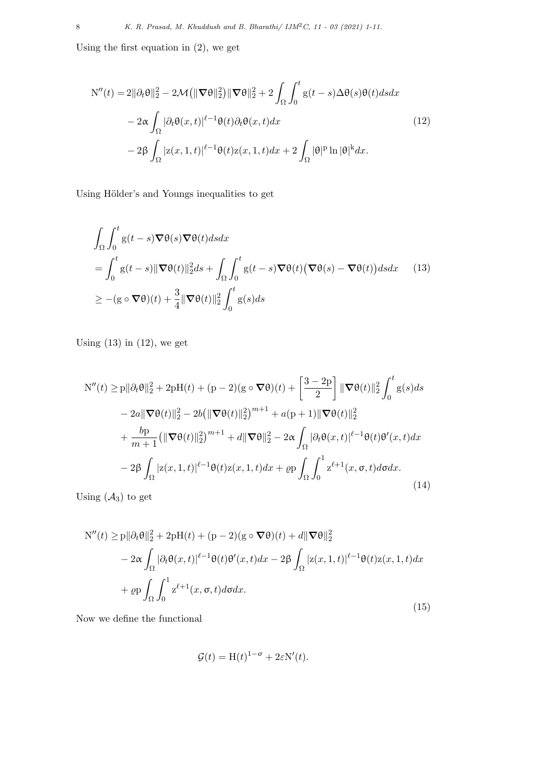Using the first equation in (2), we get

$$
N''(t) = 2\|\partial_t \theta\|_2^2 - 2\mathcal{M}(\|\nabla \theta\|_2^2) \|\nabla \theta\|_2^2 + 2\int_{\Omega} \int_0^t g(t-s)\Delta \theta(s)\theta(t)dsdx
$$
  

$$
-2\alpha \int_{\Omega} |\partial_t \theta(x,t)|^{\ell-1} \theta(t)\partial_t \theta(x,t)dx
$$
  

$$
-2\beta \int_{\Omega} |z(x,1,t)|^{\ell-1} \theta(t)z(x,1,t)dx + 2\int_{\Omega} |\theta|^p \ln |\theta|^k dx.
$$
 (12)

Using Hölder's and Youngs inequalities to get

$$
\int_{\Omega} \int_{0}^{t} g(t-s) \nabla \theta(s) \nabla \theta(t) ds dx
$$
\n
$$
= \int_{0}^{t} g(t-s) \|\nabla \theta(t)\|_{2}^{2} ds + \int_{\Omega} \int_{0}^{t} g(t-s) \nabla \theta(t) (\nabla \theta(s) - \nabla \theta(t)) ds dx \qquad (13)
$$
\n
$$
\geq -(g \circ \nabla \theta)(t) + \frac{3}{4} \|\nabla \theta(t)\|_{2}^{2} \int_{0}^{t} g(s) ds
$$

Using  $(13)$  in  $(12)$ , we get

$$
N''(t) \ge p \|\partial_t \theta\|_2^2 + 2pH(t) + (p-2)(g \circ \nabla \theta)(t) + \left[\frac{3-2p}{2}\right] \|\nabla \theta(t)\|_2^2 \int_0^t g(s)ds
$$
  

$$
- 2a \|\nabla \theta(t)\|_2^2 - 2b \left(\|\nabla \theta(t)\|_2^2\right)^{m+1} + a(p+1) \|\nabla \theta(t)\|_2^2
$$
  

$$
+ \frac{b p}{m+1} \left(\|\nabla \theta(t)\|_2^2\right)^{m+1} + d \|\nabla \theta\|_2^2 - 2\alpha \int_{\Omega} |\partial_t \theta(x,t)|^{\ell-1} \theta(t) \theta'(x,t) dx
$$
  

$$
- 2\beta \int_{\Omega} |z(x, 1, t)|^{\ell-1} \theta(t) z(x, 1, t) dx + \varrho p \int_{\Omega} \int_0^1 z^{\ell+1}(x, \sigma, t) d\sigma dx.
$$
 (14)

Using  $(A_3)$  to get

$$
N''(t) \ge p \|\partial_t \theta\|_2^2 + 2pH(t) + (p-2)(g \circ \nabla \theta)(t) + d\|\nabla \theta\|_2^2
$$
  

$$
- 2\alpha \int_{\Omega} |\partial_t \theta(x,t)|^{\ell-1} \theta(t) \theta'(x,t) dx - 2\beta \int_{\Omega} |z(x,1,t)|^{\ell-1} \theta(t) z(x,1,t) dx
$$
  

$$
+ \varrho p \int_{\Omega} \int_0^1 z^{\ell+1}(x,\sigma,t) d\sigma dx.
$$
 (15)

Now we define the functional

$$
\mathcal{G}(t) = \mathcal{H}(t)^{1-\sigma} + 2\varepsilon \mathcal{N}'(t).
$$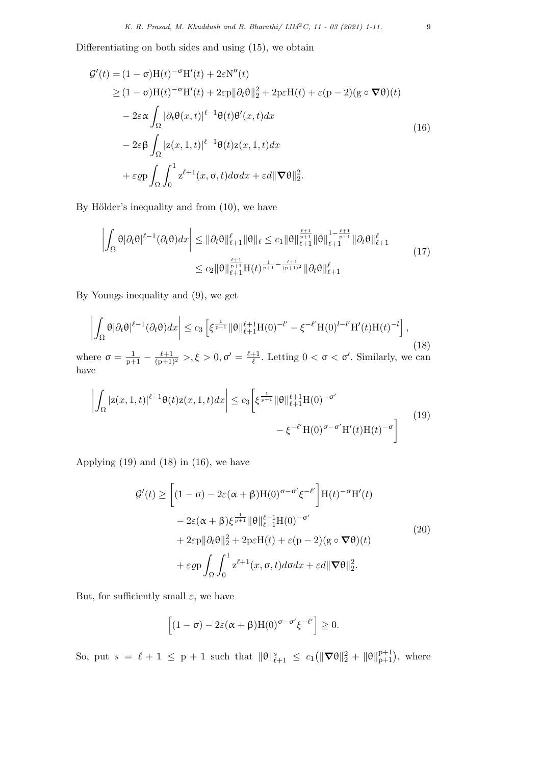Differentiating on both sides and using (15), we obtain

$$
\mathcal{G}'(t) = (1 - \sigma)H(t)^{-\sigma}H'(t) + 2\varepsilon N''(t)
$$
  
\n
$$
\geq (1 - \sigma)H(t)^{-\sigma}H'(t) + 2\varepsilon p \|\partial_t \theta\|_2^2 + 2p\varepsilon H(t) + \varepsilon (p - 2)(g \circ \nabla \theta)(t)
$$
  
\n
$$
- 2\varepsilon \alpha \int_{\Omega} |\partial_t \theta(x, t)|^{\ell - 1} \theta(t) \theta'(x, t) dx
$$
  
\n
$$
- 2\varepsilon \beta \int_{\Omega} |z(x, 1, t)|^{\ell - 1} \theta(t) z(x, 1, t) dx
$$
  
\n
$$
+ \varepsilon \varrho p \int_{\Omega} \int_0^1 z^{\ell + 1}(x, \sigma, t) d\sigma dx + \varepsilon d \|\nabla \theta\|_2^2.
$$
 (16)

By Hölder's inequality and from  $(10)$ , we have

$$
\left| \int_{\Omega} \theta |\partial_t \theta|^{\ell-1} (\partial_t \theta) dx \right| \leq \|\partial_t \theta\|_{\ell+1}^{\ell} \|\theta\|_{\ell} \leq c_1 \|\theta\|_{\ell+1}^{\frac{\ell+1}{p+1}} \|\theta\|_{\ell+1}^{1-\frac{\ell+1}{p+1}} \|\partial_t \theta\|_{\ell+1}^{\ell}
$$
  

$$
\leq c_2 \|\theta\|_{\ell+1}^{\frac{\ell+1}{p+1}} H(t)^{\frac{1}{p+1} - \frac{\ell+1}{(p+1)^2}} \|\partial_t \theta\|_{\ell+1}^{\ell}
$$
 (17)

By Youngs inequality and (9), we get

$$
\left| \int_{\Omega} \theta |\partial_t \theta|^{\ell-1} (\partial_t \theta) dx \right| \le c_3 \left[ \xi^{\frac{1}{p+1}} \|\theta\|_{\ell+1}^{\ell+1} H(0)^{-l'} - \xi^{-\ell'} H(0)^{l-l'} H'(t) H(t)^{-l'} \right], \tag{18}
$$

where  $\sigma = \frac{1}{p+1} - \frac{\ell+1}{(p+1)^2} > 0, \sigma' = \frac{\ell+1}{\ell}$  $\frac{+1}{\ell}$ . Letting  $0 < \sigma < \sigma'$ . Similarly, we can have

$$
\left| \int_{\Omega} |z(x,1,t)|^{\ell-1} \theta(t) z(x,1,t) dx \right| \leq c_3 \left[ \xi^{\frac{1}{p+1}} ||\theta||_{\ell+1}^{\ell+1} H(0)^{-\sigma'} - \xi^{-\ell'} H(0)^{\sigma-\sigma'} H'(t) H(t)^{-\sigma} \right]
$$
(19)

Applying  $(19)$  and  $(18)$  in  $(16)$ , we have

$$
\mathcal{G}'(t) \ge \left[ (1 - \sigma) - 2\varepsilon(\alpha + \beta)H(0)^{\sigma - \sigma'} \xi^{-\ell'} \right] H(t)^{-\sigma}H'(t)
$$
  

$$
- 2\varepsilon(\alpha + \beta)\xi^{\frac{1}{p+1}} \|\theta\|_{\ell+1}^{\ell+1} H(0)^{-\sigma'}
$$
  

$$
+ 2\varepsilon p \|\partial_t \theta\|_2^2 + 2p\varepsilon H(t) + \varepsilon(p - 2)(g \circ \nabla \theta)(t)
$$
  

$$
+ \varepsilon \varrho p \int_{\Omega} \int_0^1 z^{\ell+1}(x, \sigma, t) d\sigma dx + \varepsilon d \|\nabla \theta\|_2^2.
$$
 (20)

But, for sufficiently small  $\varepsilon$ , we have

$$
\left[ (1 - \sigma) - 2\varepsilon(\alpha + \beta)H(0)^{\sigma - \sigma'} \xi^{-\ell'} \right] \ge 0.
$$

So, put  $s = \ell + 1 \leq p + 1$  such that  $\|\theta\|_{\ell+1}^s \leq c_1(\|\nabla \theta\|_2^2 + \|\theta\|_{p+1}^{p+1}),$  where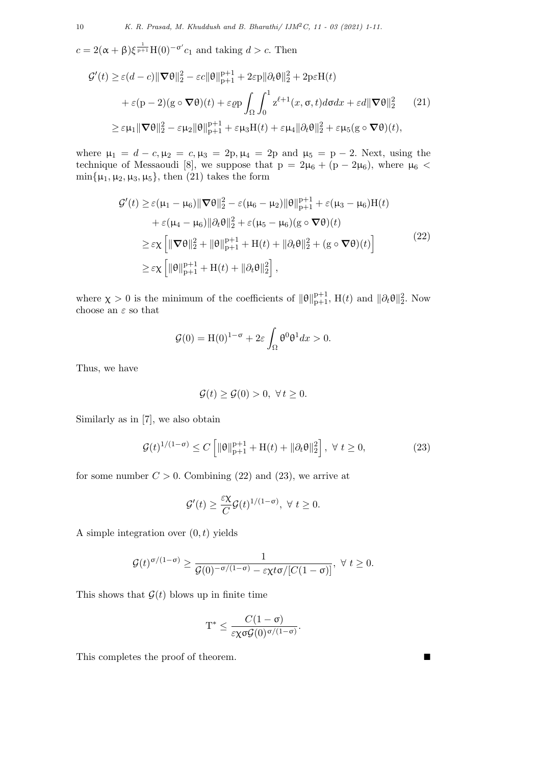$c = 2(\alpha + \beta)\xi^{\frac{1}{p+1}}H(0)^{-\sigma'}c_1$  and taking  $d > c$ . Then

$$
\mathcal{G}'(t) \geq \varepsilon (d-c) \|\nabla \theta\|_{2}^{2} - \varepsilon c \|\theta\|_{\mathbf{p}+1}^{\mathbf{p}+1} + 2\varepsilon \mathbf{p} \|\partial_{t}\theta\|_{2}^{2} + 2\mathbf{p}\varepsilon \mathbf{H}(t)
$$
  
+  $\varepsilon (\mathbf{p} - 2)(\mathbf{g} \circ \nabla \theta)(t) + \varepsilon \varrho \mathbf{p} \int_{\Omega} \int_{0}^{1} z^{\ell+1}(x, \sigma, t) d\sigma dx + \varepsilon d \|\nabla \theta\|_{2}^{2} \qquad (21)$   
 $\geq \varepsilon \mu_{1} \|\nabla \theta\|_{2}^{2} - \varepsilon \mu_{2} \|\theta\|_{\mathbf{p}+1}^{\mathbf{p}+1} + \varepsilon \mu_{3} \mathbf{H}(t) + \varepsilon \mu_{4} \|\partial_{t}\theta\|_{2}^{2} + \varepsilon \mu_{5} (\mathbf{g} \circ \nabla \theta)(t),$ 

where  $\mu_1 = d - c, \mu_2 = c, \mu_3 = 2p, \mu_4 = 2p$  and  $\mu_5 = p - 2$ . Next, using the technique of Messaoudi [8], we suppose that  $p = 2\mu_6 + (p - 2\mu_6)$ , where  $\mu_6$  <  $\min{\{\mu_1, \mu_2, \mu_3, \mu_5\}}$ , then (21) takes the form

$$
\mathcal{G}'(t) \geq \varepsilon(\mu_1 - \mu_6) \|\nabla \theta\|_2^2 - \varepsilon(\mu_6 - \mu_2) \|\theta\|_{p+1}^{p+1} + \varepsilon(\mu_3 - \mu_6)H(t)
$$
  
+  $\varepsilon(\mu_4 - \mu_6) \|\partial_t \theta\|_2^2 + \varepsilon(\mu_5 - \mu_6)(g \circ \nabla \theta)(t)$   
 $\geq \varepsilon \chi \left[ \|\nabla \theta\|_2^2 + \|\theta\|_{p+1}^{p+1} + H(t) + \|\partial_t \theta\|_2^2 + (g \circ \nabla \theta)(t) \right]$   
 $\geq \varepsilon \chi \left[ \|\theta\|_{p+1}^{p+1} + H(t) + \|\partial_t \theta\|_2^2 \right],$  (22)

where  $\chi > 0$  is the minimum of the coefficients of  $\|\theta\|_{p+1}^{p+1}$ , H(*t*) and  $\|\partial_t \theta\|_2^2$ . Now choose an  $\varepsilon$  so that

$$
\mathcal{G}(0) = \mathrm{H}(0)^{1-\sigma} + 2\varepsilon \int_{\Omega} \theta^0 \theta^1 dx > 0.
$$

Thus, we have

$$
\mathcal{G}(t) \ge \mathcal{G}(0) > 0, \ \forall \, t \ge 0.
$$

Similarly as in [7], we also obtain

$$
\mathcal{G}(t)^{1/(1-\sigma)} \le C \left[ \|\theta\|_{\mathbf{p}+1}^{p+1} + \mathbf{H}(t) + \|\partial_t \theta\|_2^2 \right], \ \forall \ t \ge 0,
$$
\n
$$
(23)
$$

for some number  $C > 0$ . Combining (22) and (23), we arrive at

$$
\mathcal{G}'(t) \geq \frac{\varepsilon \chi}{C} \mathcal{G}(t)^{1/(1-\sigma)}, \ \forall \ t \geq 0.
$$

A simple integration over (0*, t*) yields

$$
\mathcal{G}(t)^{\sigma/(1-\sigma)} \geq \frac{1}{\mathcal{G}(0)^{-\sigma/(1-\sigma)} - \varepsilon \chi t \sigma/[C(1-\sigma)]}, \ \forall \ t \geq 0.
$$

This shows that  $G(t)$  blows up in finite time

$$
T^* \leq \frac{C(1-\sigma)}{\varepsilon \chi \sigma \mathcal{G}(0)^{\sigma/(1-\sigma)}}.
$$

This completes the proof of theorem.